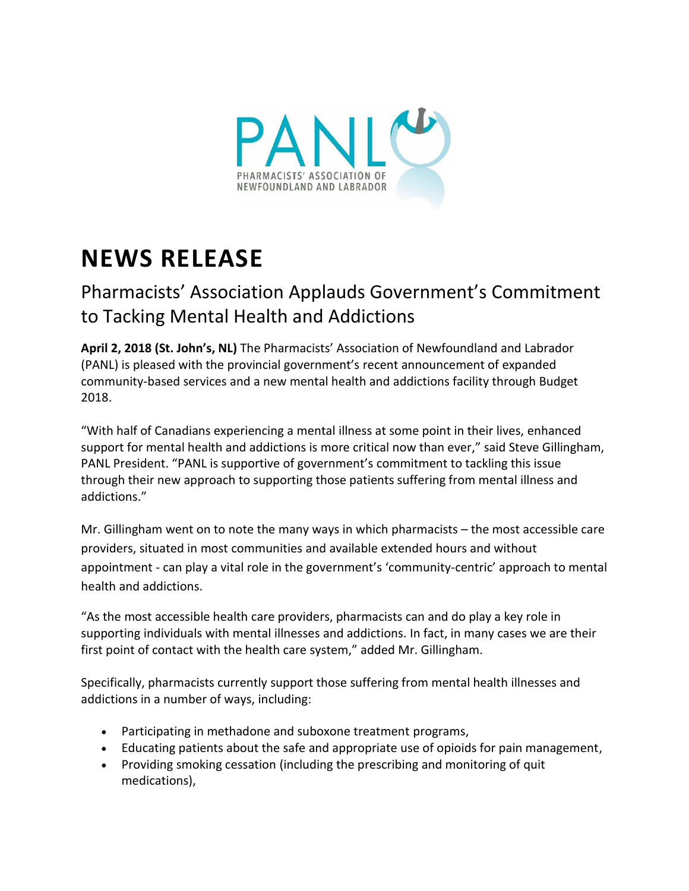

## **NEWS RELEASE**

## Pharmacists' Association Applauds Government's Commitment to Tacking Mental Health and Addictions

**April 2, 2018 (St. John's, NL)** The Pharmacists' Association of Newfoundland and Labrador (PANL) is pleased with the provincial government's recent announcement of expanded community-based services and a new mental health and addictions facility through Budget 2018.

"With half of Canadians experiencing a mental illness at some point in their lives, enhanced support for mental health and addictions is more critical now than ever," said Steve Gillingham, PANL President. "PANL is supportive of government's commitment to tackling this issue through their new approach to supporting those patients suffering from mental illness and addictions."

Mr. Gillingham went on to note the many ways in which pharmacists – the most accessible care providers, situated in most communities and available extended hours and without appointment - can play a vital role in the government's 'community-centric' approach to mental health and addictions.

"As the most accessible health care providers, pharmacists can and do play a key role in supporting individuals with mental illnesses and addictions. In fact, in many cases we are their first point of contact with the health care system," added Mr. Gillingham.

Specifically, pharmacists currently support those suffering from mental health illnesses and addictions in a number of ways, including:

- Participating in methadone and suboxone treatment programs,
- Educating patients about the safe and appropriate use of opioids for pain management,
- Providing smoking cessation (including the prescribing and monitoring of quit medications),